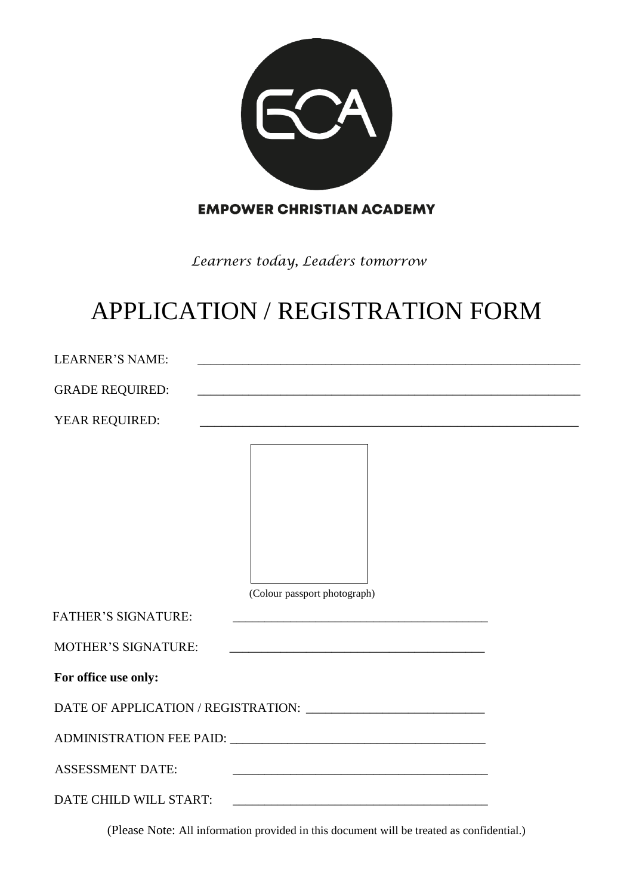

**EMPOWER CHRISTIAN ACADEMY** 

*Learners today, Leaders tomorrow*

# APPLICATION / REGISTRATION FORM

| <b>LEARNER'S NAME:</b>     | <u> 1980 - Johann John Stone, markin fizik eta idazlearia (h. 1980).</u>                                              |
|----------------------------|-----------------------------------------------------------------------------------------------------------------------|
| <b>GRADE REQUIRED:</b>     | and the control of the control of the control of the control of the control of the control of the control of the      |
| YEAR REQUIRED:             | <u> 1989 - John Stein, Amerikaansk politiker (* 1908)</u>                                                             |
|                            |                                                                                                                       |
|                            |                                                                                                                       |
|                            |                                                                                                                       |
|                            |                                                                                                                       |
|                            |                                                                                                                       |
|                            |                                                                                                                       |
|                            | (Colour passport photograph)                                                                                          |
| <b>FATHER'S SIGNATURE:</b> | <u> 1989 - Johann Barn, mars ann an t-Amhain an t-Amhain an t-Amhain an t-Amhain an t-Amhain an t-Amhain an t-Amh</u> |
| <b>MOTHER'S SIGNATURE:</b> |                                                                                                                       |
| For office use only:       |                                                                                                                       |
|                            |                                                                                                                       |
|                            |                                                                                                                       |
| <b>ASSESSMENT DATE:</b>    | <u> 1989 - Johann Stoff, amerikansk politiker (* 1908)</u>                                                            |
|                            |                                                                                                                       |

(Please Note: All information provided in this document will be treated as confidential.)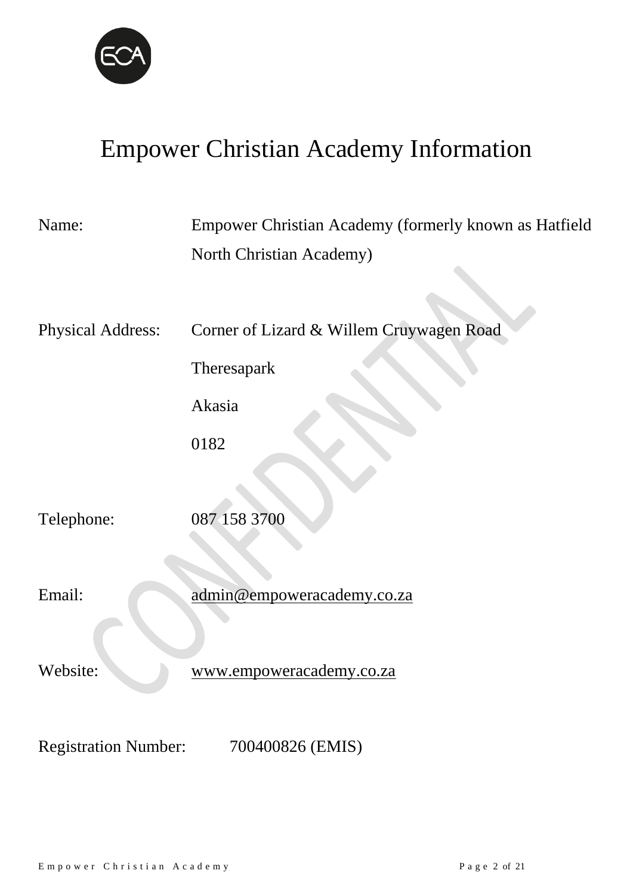

# Empower Christian Academy Information

| Name:                       | Empower Christian Academy (formerly known as Hatfield |
|-----------------------------|-------------------------------------------------------|
|                             | North Christian Academy)                              |
|                             |                                                       |
| <b>Physical Address:</b>    | Corner of Lizard & Willem Cruywagen Road              |
|                             | Theresapark                                           |
|                             | Akasia                                                |
|                             | 0182                                                  |
|                             |                                                       |
| Telephone:                  | 087 158 3700                                          |
|                             |                                                       |
| Email:                      | admin@empoweracademy.co.za                            |
|                             |                                                       |
| Website:                    | www.empoweracademy.co.za                              |
|                             |                                                       |
| <b>Registration Number:</b> | 700400826 (EMIS)                                      |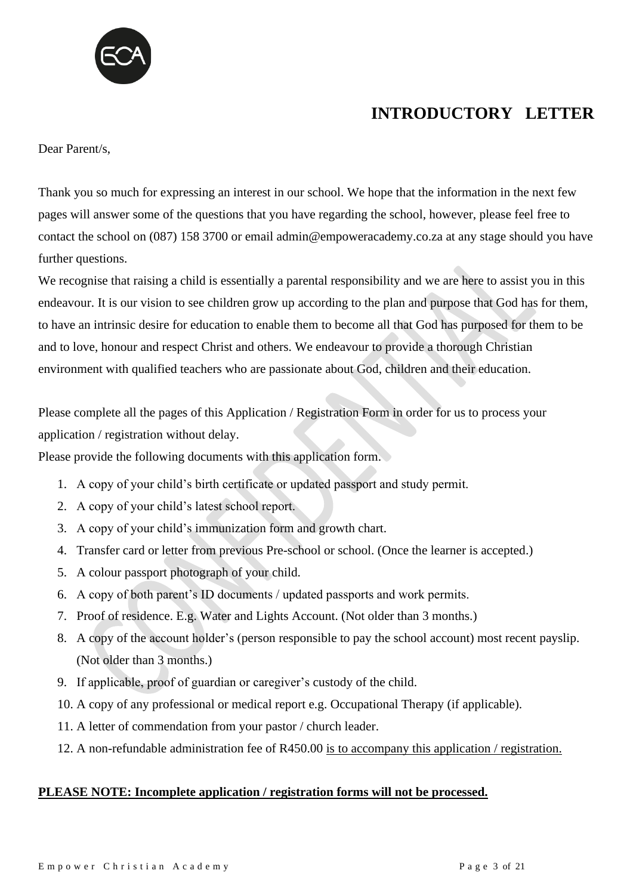

### **INTRODUCTORY LETTER**

Dear Parent/s,

Thank you so much for expressing an interest in our school. We hope that the information in the next few pages will answer some of the questions that you have regarding the school, however, please feel free to contact the school on (087) 158 3700 or email admin@empoweracademy.co.za at any stage should you have further questions.

We recognise that raising a child is essentially a parental responsibility and we are here to assist you in this endeavour. It is our vision to see children grow up according to the plan and purpose that God has for them, to have an intrinsic desire for education to enable them to become all that God has purposed for them to be and to love, honour and respect Christ and others. We endeavour to provide a thorough Christian environment with qualified teachers who are passionate about God, children and their education.

Please complete all the pages of this Application / Registration Form in order for us to process your application / registration without delay.

Please provide the following documents with this application form.

- 1. A copy of your child's birth certificate or updated passport and study permit.
- 2. A copy of your child's latest school report.
- 3. A copy of your child's immunization form and growth chart.
- 4. Transfer card or letter from previous Pre-school or school. (Once the learner is accepted.)
- 5. A colour passport photograph of your child.
- 6. A copy of both parent's ID documents / updated passports and work permits.
- 7. Proof of residence. E.g. Water and Lights Account. (Not older than 3 months.)
- 8. A copy of the account holder's (person responsible to pay the school account) most recent payslip. (Not older than 3 months.)
- 9. If applicable, proof of guardian or caregiver's custody of the child.
- 10. A copy of any professional or medical report e.g. Occupational Therapy (if applicable).
- 11. A letter of commendation from your pastor / church leader.
- 12. A non-refundable administration fee of R450.00 is to accompany this application / registration.

#### **PLEASE NOTE: Incomplete application / registration forms will not be processed.**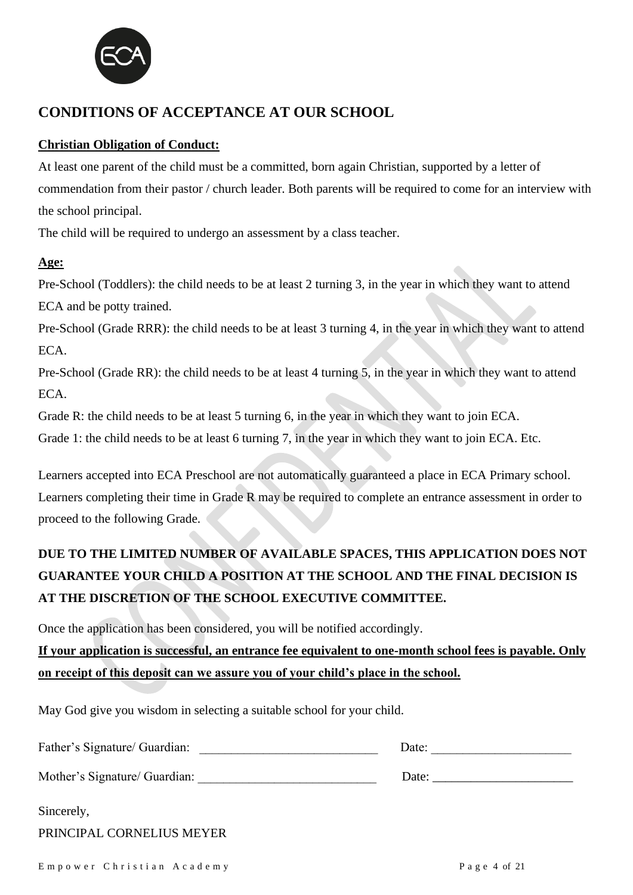

### **CONDITIONS OF ACCEPTANCE AT OUR SCHOOL**

#### **Christian Obligation of Conduct:**

At least one parent of the child must be a committed, born again Christian, supported by a letter of commendation from their pastor / church leader. Both parents will be required to come for an interview with the school principal.

The child will be required to undergo an assessment by a class teacher.

#### **Age:**

Pre-School (Toddlers): the child needs to be at least 2 turning 3, in the year in which they want to attend ECA and be potty trained.

Pre-School (Grade RRR): the child needs to be at least 3 turning 4, in the year in which they want to attend ECA.

Pre-School (Grade RR): the child needs to be at least 4 turning 5, in the year in which they want to attend ECA.

Grade R: the child needs to be at least 5 turning 6, in the year in which they want to join ECA.

Grade 1: the child needs to be at least 6 turning 7, in the year in which they want to join ECA. Etc.

Learners accepted into ECA Preschool are not automatically guaranteed a place in ECA Primary school. Learners completing their time in Grade R may be required to complete an entrance assessment in order to proceed to the following Grade.

### **DUE TO THE LIMITED NUMBER OF AVAILABLE SPACES, THIS APPLICATION DOES NOT GUARANTEE YOUR CHILD A POSITION AT THE SCHOOL AND THE FINAL DECISION IS AT THE DISCRETION OF THE SCHOOL EXECUTIVE COMMITTEE.**

Once the application has been considered, you will be notified accordingly. **If your application is successful, an entrance fee equivalent to one-month school fees is payable. Only on receipt of this deposit can we assure you of your child's place in the school.**

May God give you wisdom in selecting a suitable school for your child.

| Father's Signature/ Guardian: | Date: |
|-------------------------------|-------|
| Mother's Signature/ Guardian: |       |
| Sincerely,                    |       |
| PRINCIPAL CORNELIUS MEYER     |       |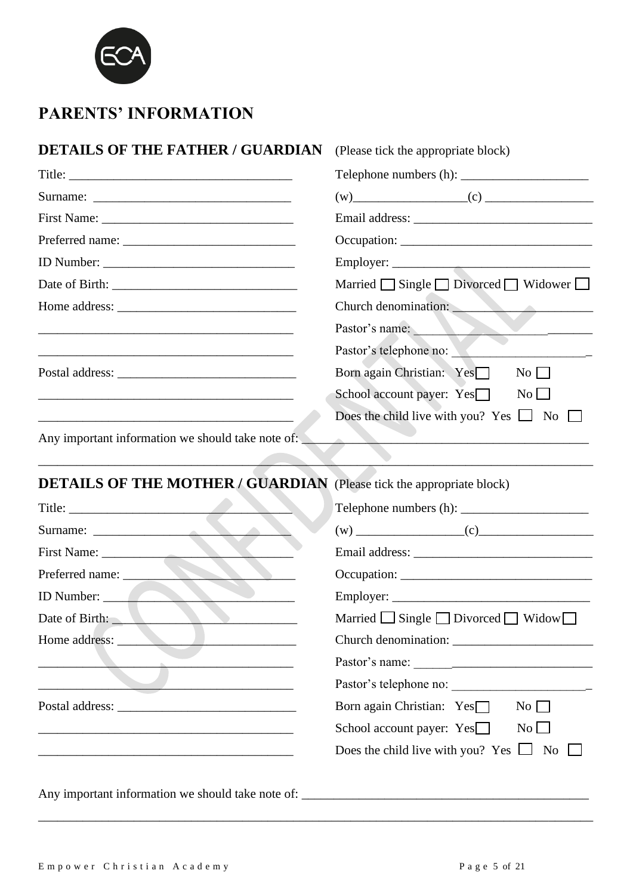

### **PARENTS' INFORMATION**

## **DETAILS OF THE FATHER / GUARDIAN** (Please tick the appropriate block)

|                                                                                                                                                                                                        | $(w)$ (c) (c)                                                                                        |
|--------------------------------------------------------------------------------------------------------------------------------------------------------------------------------------------------------|------------------------------------------------------------------------------------------------------|
|                                                                                                                                                                                                        |                                                                                                      |
|                                                                                                                                                                                                        |                                                                                                      |
|                                                                                                                                                                                                        |                                                                                                      |
|                                                                                                                                                                                                        | Married $\Box$ Single $\Box$ Divorced $\Box$ Widower $\Box$                                          |
|                                                                                                                                                                                                        | Church denomination:                                                                                 |
|                                                                                                                                                                                                        | Pastor's name:<br>$\overline{\phantom{a}}$ and $\overline{\phantom{a}}$ and $\overline{\phantom{a}}$ |
|                                                                                                                                                                                                        | Pastor's telephone no:                                                                               |
|                                                                                                                                                                                                        | Born again Christian: Yes□<br>$\overline{N_{O}}$                                                     |
|                                                                                                                                                                                                        | School account payer: $Yes$<br>$\overline{N_0}$                                                      |
|                                                                                                                                                                                                        | Does the child live with you? Yes $\Box$ No                                                          |
| Any important information we should take note of:                                                                                                                                                      | <b>Contract</b>                                                                                      |
|                                                                                                                                                                                                        |                                                                                                      |
| <b>DETAILS OF THE MOTHER / GUARDIAN</b> (Please tick the appropriate block)                                                                                                                            |                                                                                                      |
|                                                                                                                                                                                                        |                                                                                                      |
|                                                                                                                                                                                                        | $(w)$ (c)                                                                                            |
|                                                                                                                                                                                                        |                                                                                                      |
| Preferred name:                                                                                                                                                                                        |                                                                                                      |
| ID Number:                                                                                                                                                                                             |                                                                                                      |
| Date of Birth:                                                                                                                                                                                         | Married $\Box$ Single $\Box$ Divorced $\Box$ Widow $\Box$                                            |
| Home address:                                                                                                                                                                                          | Church denomination: _______                                                                         |
| <u> 1989 - Johann Barn, amerikansk politiker (d. 1989)</u>                                                                                                                                             |                                                                                                      |
| $\overline{\phantom{a}}$ and $\overline{\phantom{a}}$ and $\overline{\phantom{a}}$ and $\overline{\phantom{a}}$ and $\overline{\phantom{a}}$ and $\overline{\phantom{a}}$ and $\overline{\phantom{a}}$ | Pastor's telephone no:                                                                               |
|                                                                                                                                                                                                        | Born again Christian: Yes□<br>$No \Box$                                                              |
|                                                                                                                                                                                                        | School account payer: $Yes$<br>No                                                                    |
|                                                                                                                                                                                                        | Does the child live with you? Yes $\Box$ No $\Box$                                                   |
|                                                                                                                                                                                                        |                                                                                                      |
| Any important information we should take note of: _______________________________                                                                                                                      |                                                                                                      |

\_\_\_\_\_\_\_\_\_\_\_\_\_\_\_\_\_\_\_\_\_\_\_\_\_\_\_\_\_\_\_\_\_\_\_\_\_\_\_\_\_\_\_\_\_\_\_\_\_\_\_\_\_\_\_\_\_\_\_\_\_\_\_\_\_\_\_\_\_\_\_\_\_\_\_\_\_\_\_\_\_\_\_\_\_\_\_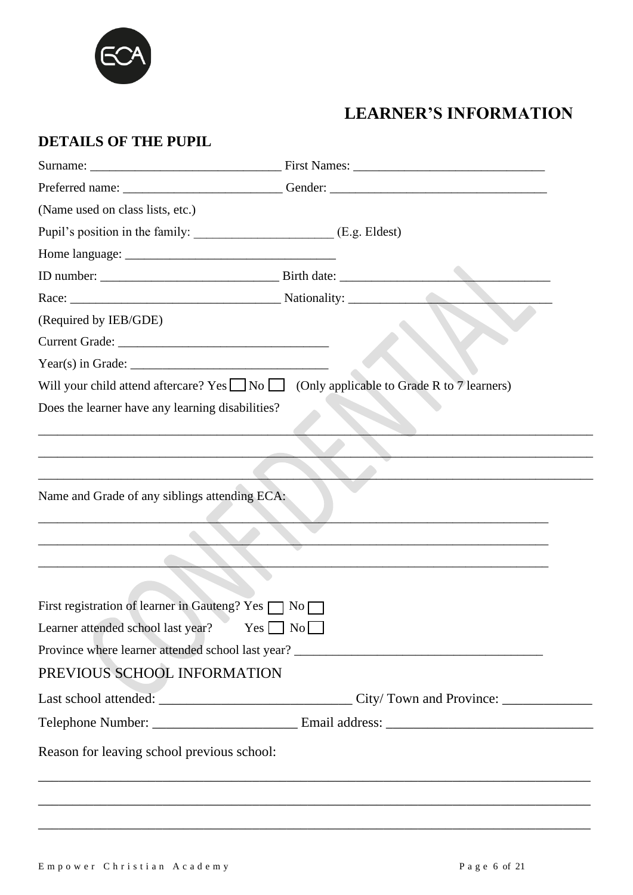

# **LEARNER'S INFORMATION**

### **DETAILS OF THE PUPIL**

| (Name used on class lists, etc.)                                                                  |                                                                                   |
|---------------------------------------------------------------------------------------------------|-----------------------------------------------------------------------------------|
|                                                                                                   |                                                                                   |
|                                                                                                   |                                                                                   |
|                                                                                                   |                                                                                   |
|                                                                                                   |                                                                                   |
| (Required by IEB/GDE)                                                                             |                                                                                   |
|                                                                                                   |                                                                                   |
|                                                                                                   |                                                                                   |
| Will your child attend aftercare? Yes $\Box$ No $\Box$ (Only applicable to Grade R to 7 learners) |                                                                                   |
| Does the learner have any learning disabilities?                                                  |                                                                                   |
|                                                                                                   |                                                                                   |
|                                                                                                   |                                                                                   |
|                                                                                                   |                                                                                   |
| Name and Grade of any siblings attending ECA:                                                     |                                                                                   |
|                                                                                                   |                                                                                   |
|                                                                                                   |                                                                                   |
|                                                                                                   | <u> 1989 - Johann Stoff, amerikansk politiker (d. 1989)</u>                       |
| First registration of learner in Gauteng? Yes $\Box$ No $\Box$                                    |                                                                                   |
| Learner attended school last year? Yes No                                                         |                                                                                   |
|                                                                                                   | Province where learner attended school last year? _______________________________ |
|                                                                                                   |                                                                                   |
| PREVIOUS SCHOOL INFORMATION                                                                       |                                                                                   |
|                                                                                                   |                                                                                   |
|                                                                                                   |                                                                                   |
| Reason for leaving school previous school:                                                        |                                                                                   |
|                                                                                                   |                                                                                   |
|                                                                                                   |                                                                                   |

\_\_\_\_\_\_\_\_\_\_\_\_\_\_\_\_\_\_\_\_\_\_\_\_\_\_\_\_\_\_\_\_\_\_\_\_\_\_\_\_\_\_\_\_\_\_\_\_\_\_\_\_\_\_\_\_\_\_\_\_\_\_\_\_\_\_\_\_\_\_\_\_\_\_\_\_\_\_\_\_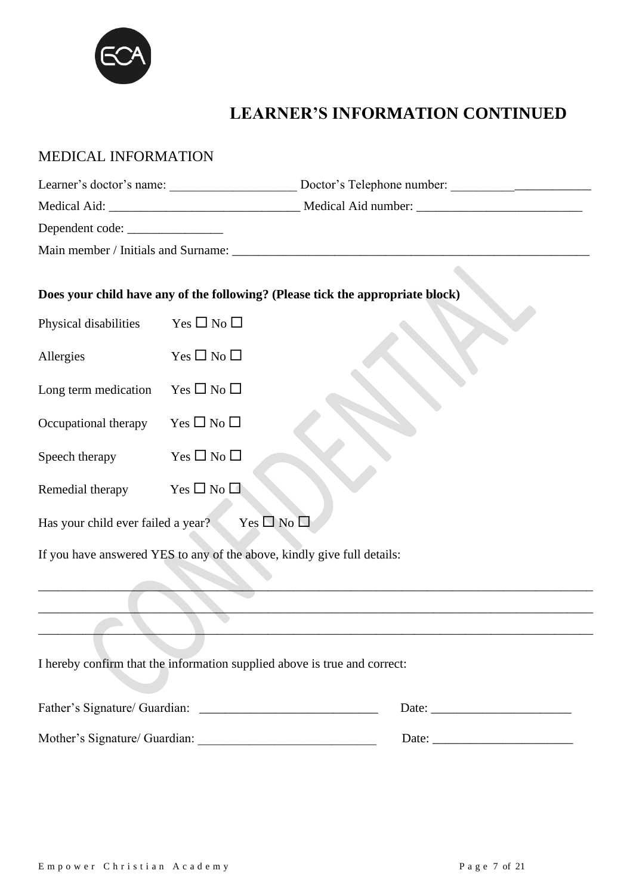

# **LEARNER'S INFORMATION CONTINUED**

| MEDICAL INFORMATION                |                                                                           |                                                                                   |
|------------------------------------|---------------------------------------------------------------------------|-----------------------------------------------------------------------------------|
|                                    |                                                                           | Learner's doctor's name: Doctor's Telephone number: _____________________________ |
|                                    |                                                                           |                                                                                   |
|                                    |                                                                           |                                                                                   |
|                                    |                                                                           |                                                                                   |
|                                    |                                                                           | Does your child have any of the following? (Please tick the appropriate block)    |
| Physical disabilities              | Yes $\Box$ No $\Box$                                                      |                                                                                   |
| Allergies                          | $Yes \Box No \Box$                                                        |                                                                                   |
| Long term medication               | $Yes \Box No \Box$                                                        |                                                                                   |
| Occupational therapy               | Yes $\square$ No $\square$                                                |                                                                                   |
| Speech therapy                     | Yes $\square$ No $\square$                                                |                                                                                   |
| Remedial therapy                   | Yes $\square$ No $\square$                                                |                                                                                   |
| Has your child ever failed a year? | Yes $\square$ No $\square$                                                |                                                                                   |
|                                    | If you have answered YES to any of the above, kindly give full details:   |                                                                                   |
|                                    |                                                                           |                                                                                   |
|                                    |                                                                           |                                                                                   |
|                                    | I hereby confirm that the information supplied above is true and correct: |                                                                                   |
|                                    |                                                                           |                                                                                   |
|                                    |                                                                           |                                                                                   |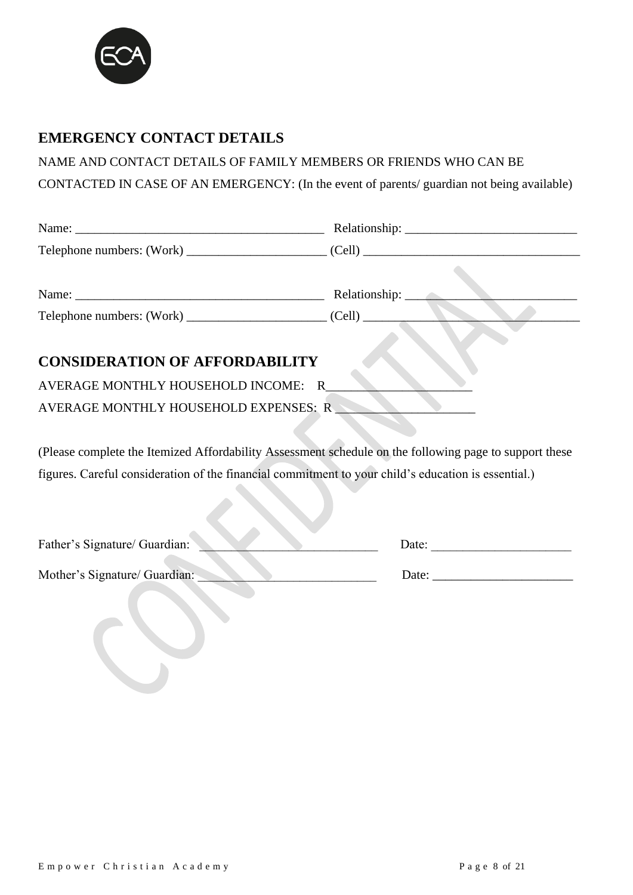

### **EMERGENCY CONTACT DETAILS**

NAME AND CONTACT DETAILS OF FAMILY MEMBERS OR FRIENDS WHO CAN BE

CONTACTED IN CASE OF AN EMERGENCY: (In the event of parents/ guardian not being available)

|                                                                                                        | Relationship: ____ |
|--------------------------------------------------------------------------------------------------------|--------------------|
|                                                                                                        |                    |
|                                                                                                        |                    |
| <b>CONSIDERATION OF AFFORDABILITY</b>                                                                  |                    |
| AVERAGE MONTHLY HOUSEHOLD INCOME: R                                                                    |                    |
| AVERAGE MONTHLY HOUSEHOLD EXPENSES: R                                                                  |                    |
|                                                                                                        |                    |
| (Please complete the Itemized Affordability Assessment schedule on the following page to support these |                    |
| figures. Careful consideration of the financial commitment to your child's education is essential.)    |                    |
|                                                                                                        |                    |
|                                                                                                        |                    |
|                                                                                                        |                    |

| Father's Signature/ Guardian: | Date: |
|-------------------------------|-------|
| Mother's Signature/ Guardian: | Date: |
|                               |       |
|                               |       |
|                               |       |
|                               |       |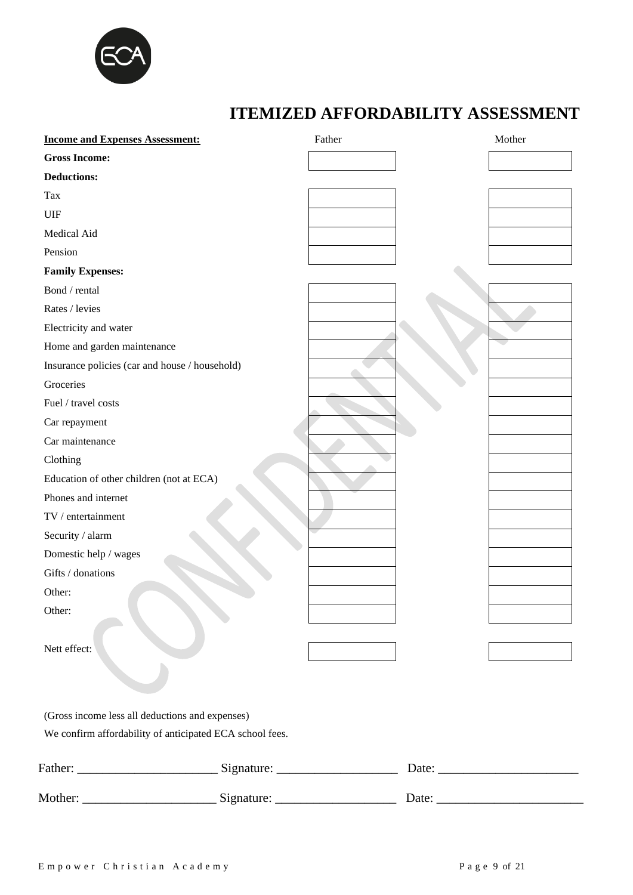

# **ITEMIZED AFFORDABILITY ASSESSMENT**

| <b>Gross Income:</b><br><b>Deductions:</b><br>Tax<br>UIF<br>Medical Aid<br>Pension<br><b>Family Expenses:</b> |  |
|---------------------------------------------------------------------------------------------------------------|--|
|                                                                                                               |  |
|                                                                                                               |  |
|                                                                                                               |  |
|                                                                                                               |  |
|                                                                                                               |  |
|                                                                                                               |  |
|                                                                                                               |  |
| Bond / rental                                                                                                 |  |
| Rates / levies                                                                                                |  |
| Electricity and water                                                                                         |  |
| Home and garden maintenance                                                                                   |  |
| Insurance policies (car and house / household)                                                                |  |
| Groceries                                                                                                     |  |
| Fuel / travel costs                                                                                           |  |
| Car repayment                                                                                                 |  |
| Car maintenance                                                                                               |  |
| Clothing                                                                                                      |  |
| Education of other children (not at ECA)                                                                      |  |
| Phones and internet                                                                                           |  |
| TV / entertainment                                                                                            |  |
| Security / alarm                                                                                              |  |
| Domestic help / wages                                                                                         |  |
| Gifts / donations                                                                                             |  |
| Other:                                                                                                        |  |
| Other:                                                                                                        |  |
|                                                                                                               |  |
| Nett effect:                                                                                                  |  |
|                                                                                                               |  |
|                                                                                                               |  |
| (Gross income less all deductions and expenses)                                                               |  |
| We confirm affordability of anticipated ECA school fees.                                                      |  |
|                                                                                                               |  |
|                                                                                                               |  |
| Mother: Signature: Signature: Date: Date:                                                                     |  |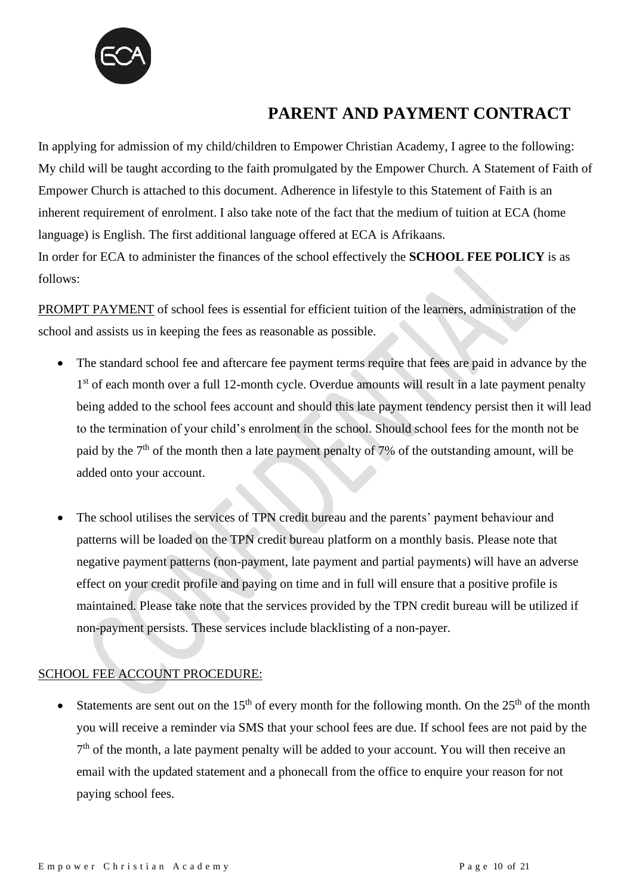

### **PARENT AND PAYMENT CONTRACT**

In applying for admission of my child/children to Empower Christian Academy, I agree to the following: My child will be taught according to the faith promulgated by the Empower Church. A Statement of Faith of Empower Church is attached to this document. Adherence in lifestyle to this Statement of Faith is an inherent requirement of enrolment. I also take note of the fact that the medium of tuition at ECA (home language) is English. The first additional language offered at ECA is Afrikaans. In order for ECA to administer the finances of the school effectively the **SCHOOL FEE POLICY** is as follows:

PROMPT PAYMENT of school fees is essential for efficient tuition of the learners, administration of the school and assists us in keeping the fees as reasonable as possible.

- The standard school fee and aftercare fee payment terms require that fees are paid in advance by the 1<sup>st</sup> of each month over a full 12-month cycle. Overdue amounts will result in a late payment penalty being added to the school fees account and should this late payment tendency persist then it will lead to the termination of your child's enrolment in the school. Should school fees for the month not be paid by the 7<sup>th</sup> of the month then a late payment penalty of 7% of the outstanding amount, will be added onto your account.
- The school utilises the services of TPN credit bureau and the parents' payment behaviour and patterns will be loaded on the TPN credit bureau platform on a monthly basis. Please note that negative payment patterns (non-payment, late payment and partial payments) will have an adverse effect on your credit profile and paying on time and in full will ensure that a positive profile is maintained. Please take note that the services provided by the TPN credit bureau will be utilized if non-payment persists. These services include blacklisting of a non-payer.

#### SCHOOL FEE ACCOUNT PROCEDURE:

Statements are sent out on the 15<sup>th</sup> of every month for the following month. On the 25<sup>th</sup> of the month you will receive a reminder via SMS that your school fees are due. If school fees are not paid by the 7<sup>th</sup> of the month, a late payment penalty will be added to your account. You will then receive an email with the updated statement and a phonecall from the office to enquire your reason for not paying school fees.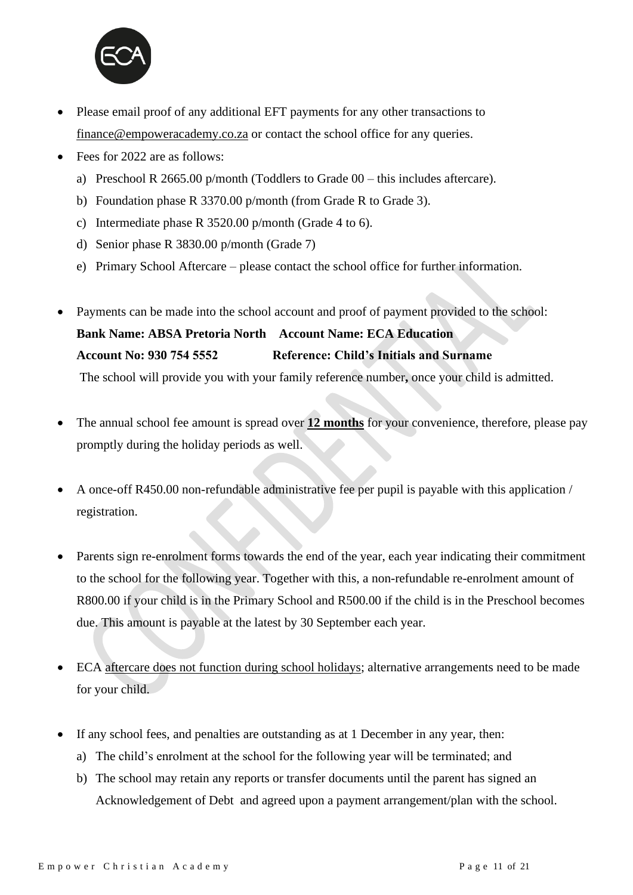

- Please email proof of any additional EFT payments for any other transactions to [finance@empoweracademy.co.za](mailto:finance@empoweracademy.co.za) or contact the school office for any queries.
- Fees for 2022 are as follows:
	- a) Preschool R 2665.00 p/month (Toddlers to Grade 00 this includes aftercare).
	- b) Foundation phase R 3370.00 p/month (from Grade R to Grade 3).
	- c) Intermediate phase R 3520.00 p/month (Grade 4 to 6).
	- d) Senior phase R 3830.00 p/month (Grade 7)
	- e) Primary School Aftercare please contact the school office for further information.
- Payments can be made into the school account and proof of payment provided to the school: **Bank Name: ABSA Pretoria North Account Name: ECA Education Account No: 930 754 5552 Reference: Child's Initials and Surname** The school will provide you with your family reference number**,** once your child is admitted.
- The annual school fee amount is spread over **12 months** for your convenience, therefore, please pay promptly during the holiday periods as well.
- A once-off R450.00 non-refundable administrative fee per pupil is payable with this application / registration.
- Parents sign re-enrolment forms towards the end of the year, each year indicating their commitment to the school for the following year. Together with this, a non-refundable re-enrolment amount of R800.00 if your child is in the Primary School and R500.00 if the child is in the Preschool becomes due. This amount is payable at the latest by 30 September each year.
- ECA aftercare does not function during school holidays; alternative arrangements need to be made for your child.
- If any school fees, and penalties are outstanding as at 1 December in any year, then:
	- a) The child's enrolment at the school for the following year will be terminated; and
	- b) The school may retain any reports or transfer documents until the parent has signed an Acknowledgement of Debt and agreed upon a payment arrangement/plan with the school.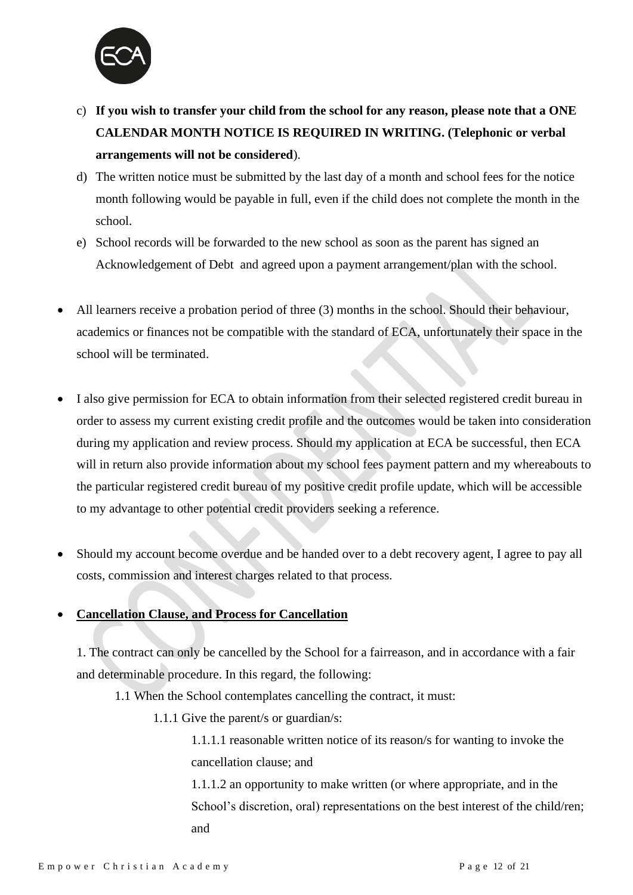

- c) **If you wish to transfer your child from the school for any reason, please note that a ONE CALENDAR MONTH NOTICE IS REQUIRED IN WRITING. (Telephonic or verbal arrangements will not be considered**).
- d) The written notice must be submitted by the last day of a month and school fees for the notice month following would be payable in full, even if the child does not complete the month in the school.
- e) School records will be forwarded to the new school as soon as the parent has signed an Acknowledgement of Debt and agreed upon a payment arrangement/plan with the school.
- All learners receive a probation period of three (3) months in the school. Should their behaviour, academics or finances not be compatible with the standard of ECA, unfortunately their space in the school will be terminated.
- I also give permission for ECA to obtain information from their selected registered credit bureau in order to assess my current existing credit profile and the outcomes would be taken into consideration during my application and review process. Should my application at ECA be successful, then ECA will in return also provide information about my school fees payment pattern and my whereabouts to the particular registered credit bureau of my positive credit profile update, which will be accessible to my advantage to other potential credit providers seeking a reference.
- Should my account become overdue and be handed over to a debt recovery agent, I agree to pay all costs, commission and interest charges related to that process.

#### • **Cancellation Clause, and Process for Cancellation**

1. The contract can only be cancelled by the School for a fairreason, and in accordance with a fair and determinable procedure. In this regard, the following:

- 1.1 When the School contemplates cancelling the contract, it must:
	- 1.1.1 Give the parent/s or guardian/s:

1.1.1.1 reasonable written notice of its reason/s for wanting to invoke the cancellation clause; and

1.1.1.2 an opportunity to make written (or where appropriate, and in the School's discretion, oral) representations on the best interest of the child/ren; and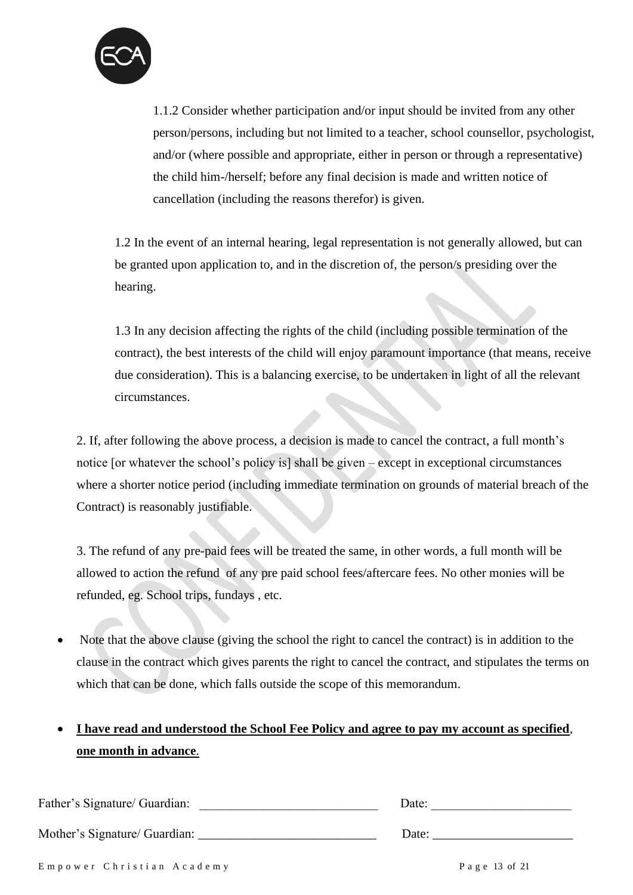

1.1.2 Consider whether participation and/or input should be invited from any other person/persons, including but not limited to a teacher, school counsellor, psychologist, and/or (where possible and appropriate, either in person or through a representative) the child him-/herself; before any final decision is made and written notice of cancellation (including the reasons therefor) is given.

1.2 In the event of an internal hearing, legal representation is not generally allowed, but can be granted upon application to, and in the discretion of, the person/s presiding over the hearing.

1.3 In any decision affecting the rights of the child (including possible termination of the contract), the best interests of the child will enjoy paramount importance (that means, receive due consideration). This is a balancing exercise, to be undertaken in light of all the relevant circumstances.

2. If, after following the above process, a decision is made to cancel the contract, a full month's notice [or whatever the school's policy is] shall be given – except in exceptional circumstances where a shorter notice period (including immediate termination on grounds of material breach of the Contract) is reasonably justifiable.

3. The refund of any pre-paid fees will be treated the same, in other words, a full month will be allowed to action the refund of any pre paid school fees/aftercare fees. No other monies will be refunded, eg. School trips, fundays , etc.

• Note that the above clause (giving the school the right to cancel the contract) is in addition to the clause in the contract which gives parents the right to cancel the contract, and stipulates the terms on which that can be done, which falls outside the scope of this memorandum.

### • **I have read and understood the School Fee Policy and agree to pay my account as specified**, **one month in advance**.

| Father's Signature/ Guardian: | Date:         |
|-------------------------------|---------------|
| Mother's Signature/ Guardian: | Date:         |
| Empower Christian Academy     | Page 13 of 21 |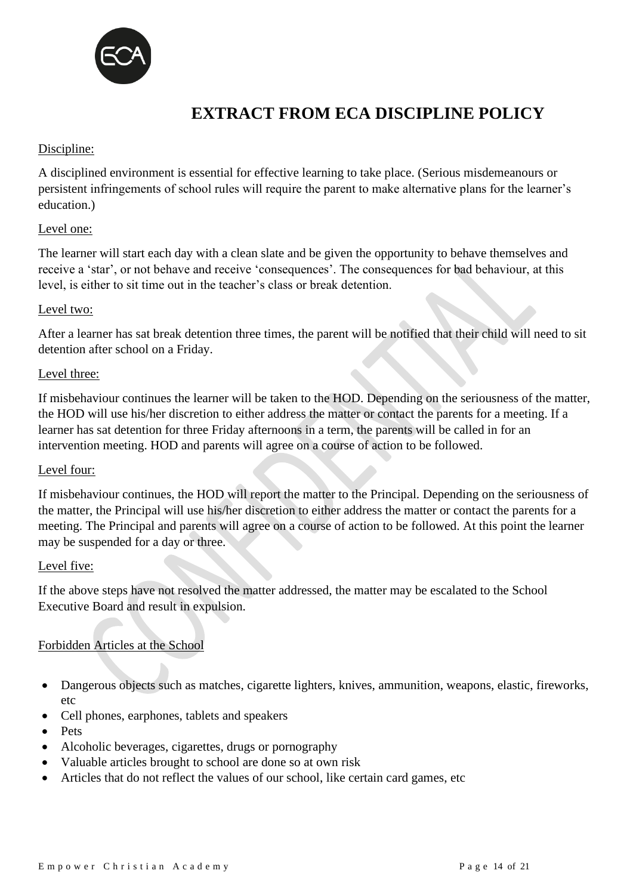

## **EXTRACT FROM ECA DISCIPLINE POLICY**

#### Discipline:

A disciplined environment is essential for effective learning to take place. (Serious misdemeanours or persistent infringements of school rules will require the parent to make alternative plans for the learner's education.)

#### Level one:

The learner will start each day with a clean slate and be given the opportunity to behave themselves and receive a 'star', or not behave and receive 'consequences'. The consequences for bad behaviour, at this level, is either to sit time out in the teacher's class or break detention.

#### Level two:

After a learner has sat break detention three times, the parent will be notified that their child will need to sit detention after school on a Friday.

#### Level three:

If misbehaviour continues the learner will be taken to the HOD. Depending on the seriousness of the matter, the HOD will use his/her discretion to either address the matter or contact the parents for a meeting. If a learner has sat detention for three Friday afternoons in a term, the parents will be called in for an intervention meeting. HOD and parents will agree on a course of action to be followed.

#### Level four:

If misbehaviour continues, the HOD will report the matter to the Principal. Depending on the seriousness of the matter, the Principal will use his/her discretion to either address the matter or contact the parents for a meeting. The Principal and parents will agree on a course of action to be followed. At this point the learner may be suspended for a day or three.

#### Level five:

If the above steps have not resolved the matter addressed, the matter may be escalated to the School Executive Board and result in expulsion.

#### Forbidden Articles at the School

- Dangerous objects such as matches, cigarette lighters, knives, ammunition, weapons, elastic, fireworks, etc
- Cell phones, earphones, tablets and speakers
- Pets
- Alcoholic beverages, cigarettes, drugs or pornography
- Valuable articles brought to school are done so at own risk
- Articles that do not reflect the values of our school, like certain card games, etc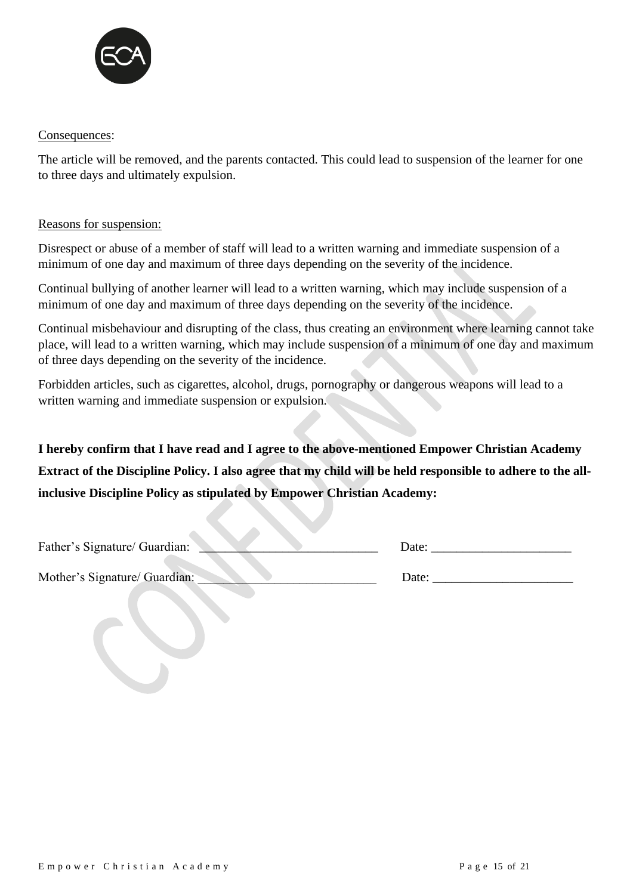

#### Consequences:

The article will be removed, and the parents contacted. This could lead to suspension of the learner for one to three days and ultimately expulsion.

#### Reasons for suspension:

Disrespect or abuse of a member of staff will lead to a written warning and immediate suspension of a minimum of one day and maximum of three days depending on the severity of the incidence.

Continual bullying of another learner will lead to a written warning, which may include suspension of a minimum of one day and maximum of three days depending on the severity of the incidence.

Continual misbehaviour and disrupting of the class, thus creating an environment where learning cannot take place, will lead to a written warning, which may include suspension of a minimum of one day and maximum of three days depending on the severity of the incidence.

Forbidden articles, such as cigarettes, alcohol, drugs, pornography or dangerous weapons will lead to a written warning and immediate suspension or expulsion.

**I hereby confirm that I have read and I agree to the above-mentioned Empower Christian Academy Extract of the Discipline Policy. I also agree that my child will be held responsible to adhere to the allinclusive Discipline Policy as stipulated by Empower Christian Academy:**

Father's Signature/ Guardian: <br>
Date: <br>
Date:

Mother's Signature/ Guardian: <br>  $Date:$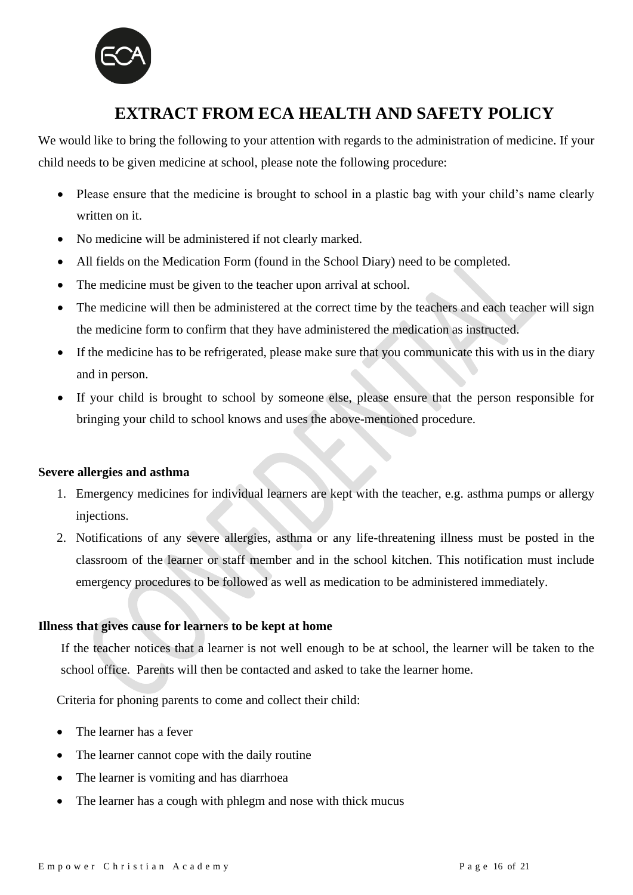

### **EXTRACT FROM ECA HEALTH AND SAFETY POLICY**

We would like to bring the following to your attention with regards to the administration of medicine. If your child needs to be given medicine at school, please note the following procedure:

- Please ensure that the medicine is brought to school in a plastic bag with your child's name clearly written on it.
- No medicine will be administered if not clearly marked.
- All fields on the Medication Form (found in the School Diary) need to be completed.
- The medicine must be given to the teacher upon arrival at school.
- The medicine will then be administered at the correct time by the teachers and each teacher will sign the medicine form to confirm that they have administered the medication as instructed.
- If the medicine has to be refrigerated, please make sure that you communicate this with us in the diary and in person.
- If your child is brought to school by someone else, please ensure that the person responsible for bringing your child to school knows and uses the above-mentioned procedure.

#### **Severe allergies and asthma**

- 1. Emergency medicines for individual learners are kept with the teacher, e.g. asthma pumps or allergy injections.
- 2. Notifications of any severe allergies, asthma or any life-threatening illness must be posted in the classroom of the learner or staff member and in the school kitchen. This notification must include emergency procedures to be followed as well as medication to be administered immediately.

#### **Illness that gives cause for learners to be kept at home**

If the teacher notices that a learner is not well enough to be at school, the learner will be taken to the school office. Parents will then be contacted and asked to take the learner home.

Criteria for phoning parents to come and collect their child:

- The learner has a fever
- The learner cannot cope with the daily routine
- The learner is vomiting and has diarrhoea
- The learner has a cough with phlegm and nose with thick mucus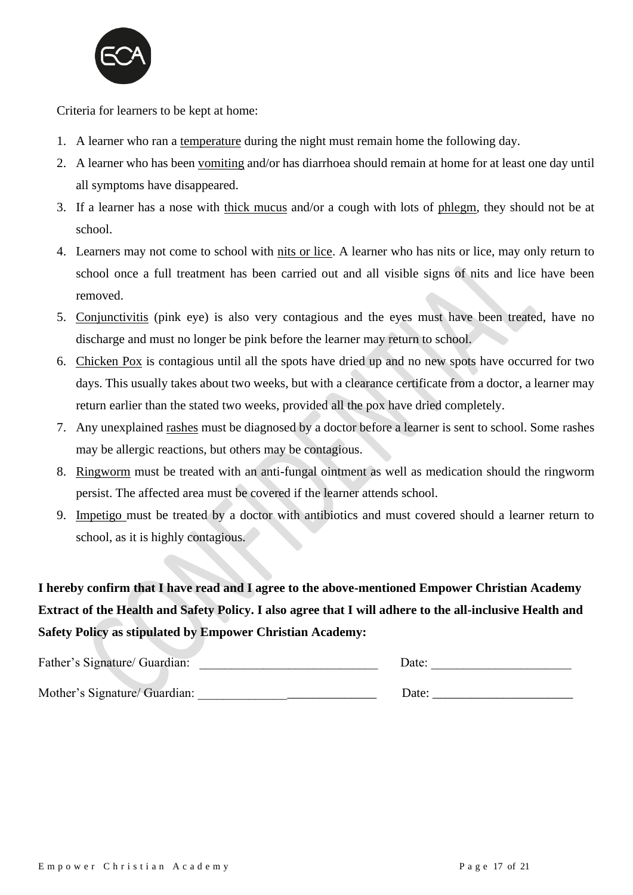

Criteria for learners to be kept at home:

- 1. A learner who ran a temperature during the night must remain home the following day.
- 2. A learner who has been vomiting and/or has diarrhoea should remain at home for at least one day until all symptoms have disappeared.
- 3. If a learner has a nose with thick mucus and/or a cough with lots of phlegm, they should not be at school.
- 4. Learners may not come to school with nits or lice. A learner who has nits or lice, may only return to school once a full treatment has been carried out and all visible signs of nits and lice have been removed.
- 5. Conjunctivitis (pink eye) is also very contagious and the eyes must have been treated, have no discharge and must no longer be pink before the learner may return to school.
- 6. Chicken Pox is contagious until all the spots have dried up and no new spots have occurred for two days. This usually takes about two weeks, but with a clearance certificate from a doctor, a learner may return earlier than the stated two weeks, provided all the pox have dried completely.
- 7. Any unexplained rashes must be diagnosed by a doctor before a learner is sent to school. Some rashes may be allergic reactions, but others may be contagious.
- 8. Ringworm must be treated with an anti-fungal ointment as well as medication should the ringworm persist. The affected area must be covered if the learner attends school.
- 9. Impetigo must be treated by a doctor with antibiotics and must covered should a learner return to school, as it is highly contagious.

**I hereby confirm that I have read and I agree to the above-mentioned Empower Christian Academy Extract of the Health and Safety Policy. I also agree that I will adhere to the all-inclusive Health and Safety Policy as stipulated by Empower Christian Academy:**

| Father's Signature/ Guardian: | Date: |
|-------------------------------|-------|
| Mother's Signature/ Guardian: | Date: |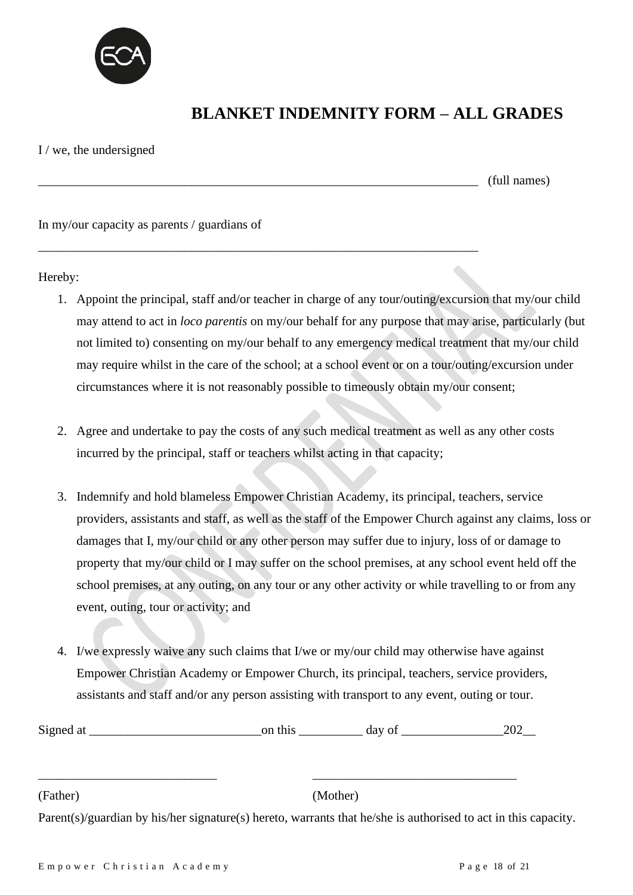

### **BLANKET INDEMNITY FORM – ALL GRADES**

#### I / we, the undersigned

 $(full names)$ 

In my/our capacity as parents / guardians of

Hereby:

1. Appoint the principal, staff and/or teacher in charge of any tour/outing/excursion that my/our child may attend to act in *loco parentis* on my/our behalf for any purpose that may arise, particularly (but not limited to) consenting on my/our behalf to any emergency medical treatment that my/our child may require whilst in the care of the school; at a school event or on a tour/outing/excursion under circumstances where it is not reasonably possible to timeously obtain my/our consent;

\_\_\_\_\_\_\_\_\_\_\_\_\_\_\_\_\_\_\_\_\_\_\_\_\_\_\_\_\_\_\_\_\_\_\_\_\_\_\_\_\_\_\_\_\_\_\_\_\_\_\_\_\_\_\_\_\_\_\_\_\_\_\_\_\_\_\_\_\_

- 2. Agree and undertake to pay the costs of any such medical treatment as well as any other costs incurred by the principal, staff or teachers whilst acting in that capacity;
- 3. Indemnify and hold blameless Empower Christian Academy, its principal, teachers, service providers, assistants and staff, as well as the staff of the Empower Church against any claims, loss or damages that I, my/our child or any other person may suffer due to injury, loss of or damage to property that my/our child or I may suffer on the school premises, at any school event held off the school premises, at any outing, on any tour or any other activity or while travelling to or from any event, outing, tour or activity; and
- 4. I/we expressly waive any such claims that I/we or my/our child may otherwise have against Empower Christian Academy or Empower Church, its principal, teachers, service providers, assistants and staff and/or any person assisting with transport to any event, outing or tour.

| $\sim$<br>Sign6<br>$\sim$<br>$\sim$ $-$ |  | ua<br>v. | $\sim$ $\sim$ |
|-----------------------------------------|--|----------|---------------|
|-----------------------------------------|--|----------|---------------|

\_\_\_\_\_\_\_\_\_\_\_\_\_\_\_\_\_\_\_\_\_\_\_\_\_\_\_\_ \_\_\_\_\_\_\_\_\_\_\_\_\_\_\_\_\_\_\_\_\_\_\_\_\_\_\_\_\_\_\_\_

(Father) (Mother)

Parent(s)/guardian by his/her signature(s) hereto, warrants that he/she is authorised to act in this capacity.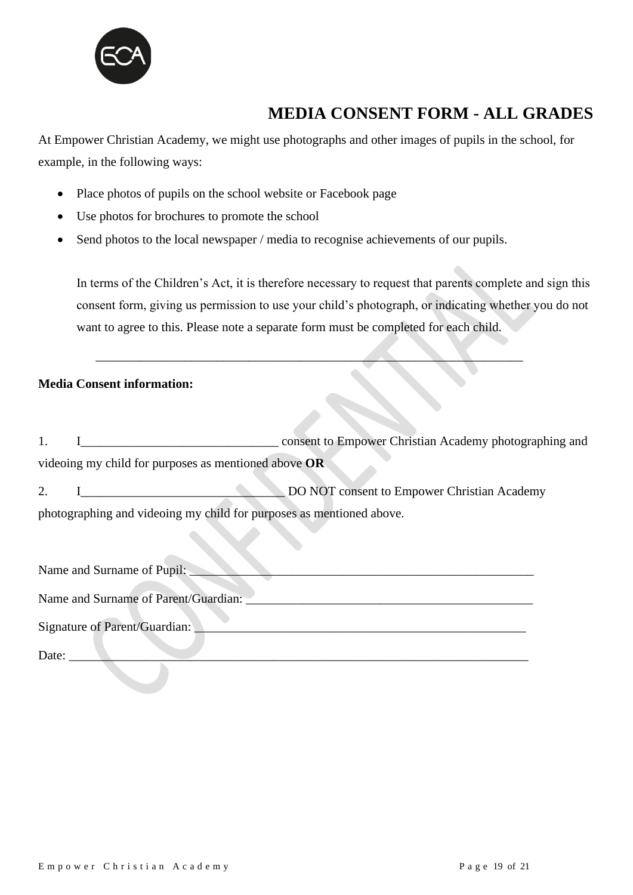

## **MEDIA CONSENT FORM - ALL GRADES**

At Empower Christian Academy, we might use photographs and other images of pupils in the school, for example, in the following ways:

- Place photos of pupils on the school website or Facebook page
- Use photos for brochures to promote the school
- Send photos to the local newspaper / media to recognise achievements of our pupils.

 $\mathcal{L}=\mathcal{L}=\mathcal{L}=\mathcal{L}=\mathcal{L}=\mathcal{L}=\mathcal{L}=\mathcal{L}=\mathcal{L}=\mathcal{L}=\mathcal{L}=\mathcal{L}=\mathcal{L}=\mathcal{L}=\mathcal{L}=\mathcal{L}=\mathcal{L}=\mathcal{L}=\mathcal{L}=\mathcal{L}=\mathcal{L}=\mathcal{L}=\mathcal{L}=\mathcal{L}=\mathcal{L}=\mathcal{L}=\mathcal{L}=\mathcal{L}=\mathcal{L}=\mathcal{L}=\mathcal{L}=\mathcal{L}=\mathcal{L}=\mathcal{L}=\mathcal{L}=\mathcal{L}=\mathcal{$ 

In terms of the Children's Act, it is therefore necessary to request that parents complete and sign this consent form, giving us permission to use your child's photograph, or indicating whether you do not want to agree to this. Please note a separate form must be completed for each child.

#### **Media Consent information:**

1. I\_\_\_\_\_\_\_\_\_\_\_\_\_\_\_\_\_\_\_\_\_\_\_\_\_\_\_\_\_\_\_ consent to Empower Christian Academy photographing and videoing my child for purposes as mentioned above **OR**

2. I\_\_\_\_\_\_\_\_\_\_\_\_\_\_\_\_\_\_\_\_\_\_\_\_\_\_\_\_\_\_\_\_ DO NOT consent to Empower Christian Academy photographing and videoing my child for purposes as mentioned above.

| Name and Surname of Pupil:           |
|--------------------------------------|
| Name and Surname of Parent/Guardian: |
|                                      |
| Signature of Parent/Guardian:        |
|                                      |
| Date:                                |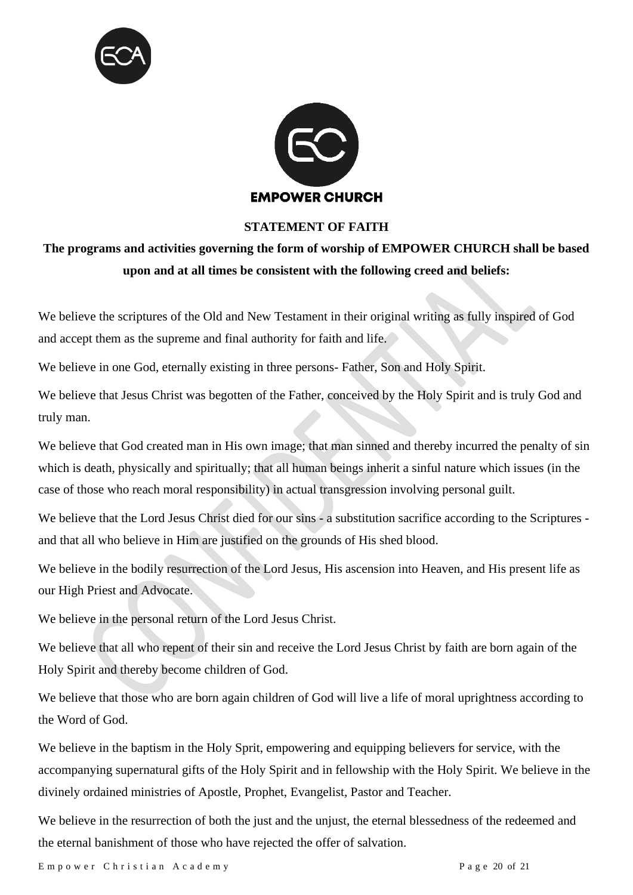



#### **STATEMENT OF FAITH**

### **The programs and activities governing the form of worship of EMPOWER CHURCH shall be based upon and at all times be consistent with the following creed and beliefs:**

We believe the scriptures of the Old and New Testament in their original writing as fully inspired of God and accept them as the supreme and final authority for faith and life.

We believe in one God, eternally existing in three persons- Father, Son and Holy Spirit.

We believe that Jesus Christ was begotten of the Father, conceived by the Holy Spirit and is truly God and truly man.

We believe that God created man in His own image; that man sinned and thereby incurred the penalty of sin which is death, physically and spiritually; that all human beings inherit a sinful nature which issues (in the case of those who reach moral responsibility) in actual transgression involving personal guilt.

We believe that the Lord Jesus Christ died for our sins - a substitution sacrifice according to the Scriptures and that all who believe in Him are justified on the grounds of His shed blood.

We believe in the bodily resurrection of the Lord Jesus, His ascension into Heaven, and His present life as our High Priest and Advocate.

We believe in the personal return of the Lord Jesus Christ.

We believe that all who repent of their sin and receive the Lord Jesus Christ by faith are born again of the Holy Spirit and thereby become children of God.

We believe that those who are born again children of God will live a life of moral uprightness according to the Word of God.

We believe in the baptism in the Holy Sprit, empowering and equipping believers for service, with the accompanying supernatural gifts of the Holy Spirit and in fellowship with the Holy Spirit. We believe in the divinely ordained ministries of Apostle, Prophet, Evangelist, Pastor and Teacher.

We believe in the resurrection of both the just and the unjust, the eternal blessedness of the redeemed and the eternal banishment of those who have rejected the offer of salvation.